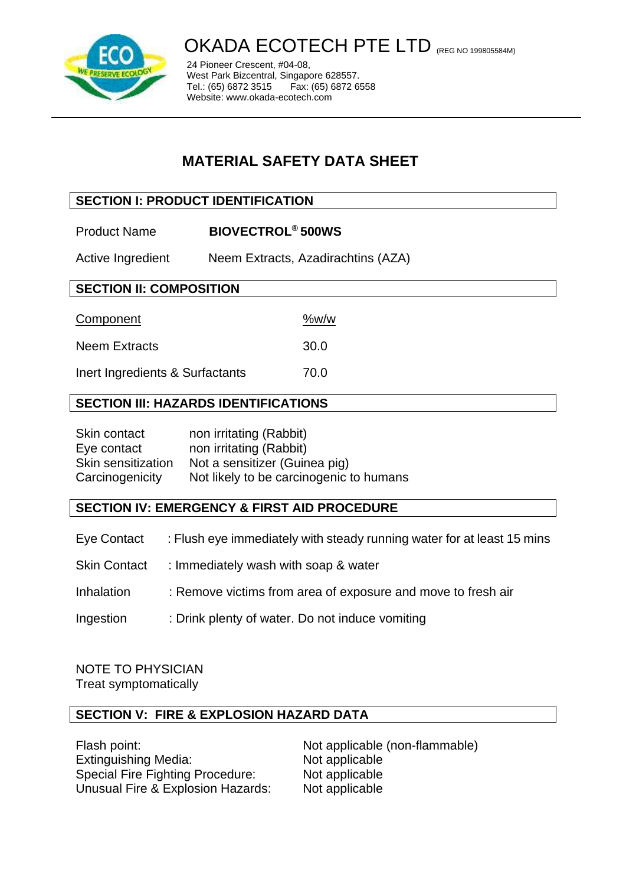

# OKADA ECOTECH PTE LTD (REG NO 199805584M)

24 Pioneer Crescent, #04-08, West Park Bizcentral, Singapore 628557.<br>Tel.: (65) 6872 3515 Fax: (65) 6872 6558 Tel.: (65) 6872 3515 Website: www.okada-ecotech.com

# **MATERIAL SAFETY DATA SHEET**

# **SECTION I: PRODUCT IDENTIFICATION**

Product Name **BIOVECTROL® 500WS**

Active Ingredient Neem Extracts, Azadirachtins (AZA)

# **SECTION II: COMPOSITION**

| Component            | %w/w |
|----------------------|------|
| <b>Neem Extracts</b> | 30.0 |

Inert Ingredients & Surfactants 70.0

# **SECTION III: HAZARDS IDENTIFICATIONS**

| Skin contact       | non irritating (Rabbit)                 |
|--------------------|-----------------------------------------|
| Eye contact        | non irritating (Rabbit)                 |
| Skin sensitization | Not a sensitizer (Guinea pig)           |
| Carcinogenicity    | Not likely to be carcinogenic to humans |

# **SECTION IV: EMERGENCY & FIRST AID PROCEDURE**

- Eye Contact : Flush eye immediately with steady running water for at least 15 mins
- Skin Contact : Immediately wash with soap & water
- Inhalation : Remove victims from area of exposure and move to fresh air
- Ingestion : Drink plenty of water. Do not induce vomiting

#### NOTE TO PHYSICIAN Treat symptomatically

# **SECTION V: FIRE & EXPLOSION HAZARD DATA**

Flash point: Not applicable (non-flammable) Extinguishing Media: Not applicable Special Fire Fighting Procedure: Not applicable Unusual Fire & Explosion Hazards: Not applicable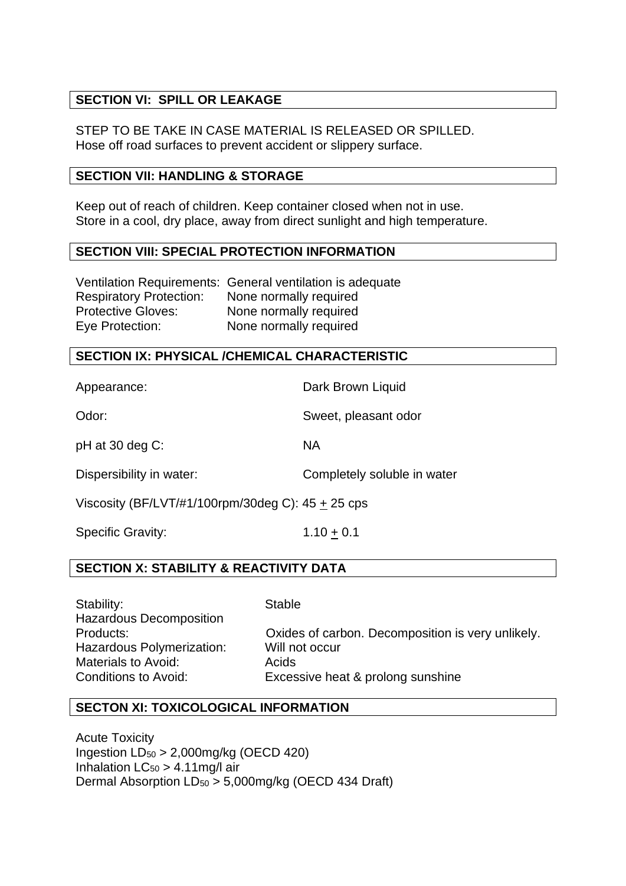# **SECTION VI: SPILL OR LEAKAGE**

STEP TO BE TAKE IN CASE MATERIAL IS RELEASED OR SPILLED. Hose off road surfaces to prevent accident or slippery surface.

#### **SECTION VII: HANDLING & STORAGE**

Keep out of reach of children. Keep container closed when not in use. Store in a cool, dry place, away from direct sunlight and high temperature.

#### **SECTION VIII: SPECIAL PROTECTION INFORMATION**

|                                | Ventilation Requirements: General ventilation is adequate |
|--------------------------------|-----------------------------------------------------------|
| <b>Respiratory Protection:</b> | None normally required                                    |
| <b>Protective Gloves:</b>      | None normally required                                    |
| Eye Protection:                | None normally required                                    |

#### **SECTION IX: PHYSICAL /CHEMICAL CHARACTERISTIC**

Appearance: Dark Brown Liquid

Odor: Sweet, pleasant odor

pH at 30 deg C: NA

Dispersibility in water: Completely soluble in water

Viscosity (BF/LVT/#1/100rpm/30deg C): 45 + 25 cps

Specific Gravity:  $1.10 \pm 0.1$ 

## **SECTION X: STABILITY & REACTIVITY DATA**

Stability: Stable Hazardous Decomposition Hazardous Polymerization: Will not occur Materials to Avoid: Branch Acids

Products: Oxides of carbon. Decomposition is very unlikely. Conditions to Avoid: Excessive heat & prolong sunshine

## **SECTON XI: TOXICOLOGICAL INFORMATION**

Acute Toxicity Ingestion  $LD_{50} > 2,000$ mg/kg (OECD 420) Inhalation  $LC_{50} > 4.11$  mg/l air Dermal Absorption LD<sup>50</sup> > 5,000mg/kg (OECD 434 Draft)